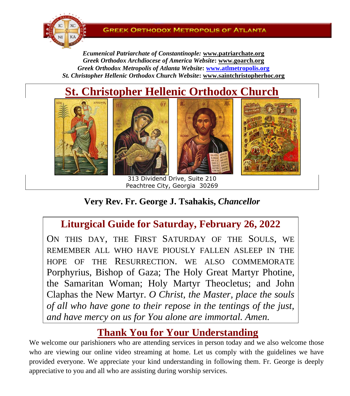

*Ecumenical Patriarchate of Constantinople:* **www.patriarchate.org** *Greek Orthodox Archdiocese of America Website***: www.goarch.org** *Greek Orthodox Metropolis of Atlanta Website***: [www.atlmetropolis.org](http://www.atlmetropolis.org/)** *St. Christopher Hellenic Orthodox Church Website***: [www.saintchristopherhoc.org](http://www.saintchristopherhoc.org/)**

# **St. Christopher Hellenic Orthodox Church**



313 Dividend Drive, Suite 210 Peachtree City, Georgia 30269

**Very Rev. Fr. George J. Tsahakis,** *Chancellor*

## **Liturgical Guide for Saturday, February 26, 2022**

ON THIS DAY, THE FIRST SATURDAY OF THE SOULS, WE REMEMBER ALL WHO HAVE PIOUSLY FALLEN ASLEEP IN THE HOPE OF THE RESURRECTION. WE ALSO COMMEMORATE Porphyrius, Bishop of Gaza; The Holy Great Martyr Photine, the Samaritan Woman; Holy Martyr Theocletus; and John Claphas the New Martyr. *O Christ, the Master, place the souls of all who have gone to their repose in the tentings of the just, and have mercy on us for You alone are immortal. Amen.*

## **Thank You for Your Understanding**

We welcome our parishioners who are attending services in person today and we also welcome those who are viewing our online video streaming at home. Let us comply with the guidelines we have provided everyone. We appreciate your kind understanding in following them. Fr. George is deeply appreciative to you and all who are assisting during worship services.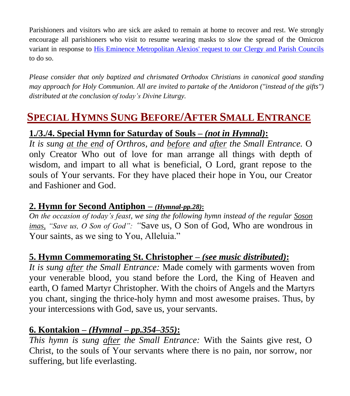Parishioners and visitors who are sick are asked to remain at home to recover and rest. We strongly encourage all parishioners who visit to resume wearing masks to slow the spread of the Omicron variant in response to [His Eminence Metropolitan Alexios' request to our Clergy and Parish Councils](https://12343.sites.sheenomo.com/news/concerning-masks-in-our-parishes-august-19) to do so.

*Please consider that only baptized and chrismated Orthodox Christians in canonical good standing may approach for Holy Communion. All are invited to partake of the Antidoron ("instead of the gifts") distributed at the conclusion of today's Divine Liturgy.*

# **SPECIAL HYMNS SUNG BEFORE/AFTER SMALL ENTRANCE**

### **1./3./4. Special Hymn for Saturday of Souls –** *(not in Hymnal)***:**

*It is sung at the end of Orthros, and before and after the Small Entrance.* O only Creator Who out of love for man arrange all things with depth of wisdom, and impart to all what is beneficial, O Lord, grant repose to the souls of Your servants. For they have placed their hope in You, our Creator and Fashioner and God.

#### **2. Hymn for Second Antiphon –** *(Hymnal-pp.28)***:**

*On the occasion of today's feast, we sing the following hymn instead of the regular Soson imas, "Save us, O Son of God": "*Save us, O Son of God, Who are wondrous in Your saints, as we sing to You, Alleluia."

### **5. Hymn Commemorating St. Christopher –** *(see music distributed)***:**

*It is sung after the Small Entrance:* Made comely with garments woven from your venerable blood, you stand before the Lord, the King of Heaven and earth, O famed Martyr Christopher. With the choirs of Angels and the Martyrs you chant, singing the thrice-holy hymn and most awesome praises. Thus, by your intercessions with God, save us, your servants.

### **6. Kontakion –** *(Hymnal – pp.354–355)***:**

*This hymn is sung after the Small Entrance:* With the Saints give rest, O Christ, to the souls of Your servants where there is no pain, nor sorrow, nor suffering, but life everlasting.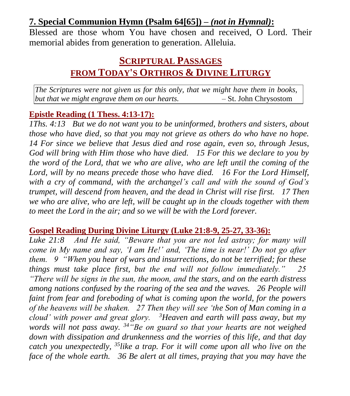### **7. Special Communion Hymn (Psalm 64[65]) –** *(not in Hymnal)***:**

Blessed are those whom You have chosen and received, O Lord. Their memorial abides from generation to generation. Alleluia.

## **SCRIPTURAL PASSAGES FROM TODAY'S ORTHROS & DIVINE LITURGY**

*The Scriptures were not given us for this only, that we might have them in books, but that we might engrave them on our hearts.* – St. John Chrysostom

#### **Epistle Reading (1 Thess. 4:13-17):**

*1Ths. 4:13 But we do not want you to be uninformed, brothers and sisters, about those who have died, so that you may not grieve as others do who have no hope. 14 For since we believe that Jesus died and rose again, even so, through Jesus, God will bring with Him those who have died. 15 For this we declare to you by the word of the Lord, that we who are alive, who are left until the coming of the Lord, will by no means precede those who have died. 16 For the Lord Himself, with a cry of command, with the archangel's call and with the sound of God's trumpet, will descend from heaven, and the dead in Christ will rise first. 17 Then we who are alive, who are left, will be caught up in the clouds together with them to meet the Lord in the air; and so we will be with the Lord forever.* 

#### **Gospel Reading During Divine Liturgy (Luke 21:8-9, 25-27, 33-36):**

*Luke 21:8 And He said, "Beware that you are not led astray; for many will come in My name and say, 'I am He!' and, 'The time is near!' Do not go after them. 9 "When you hear of wars and insurrections, do not be terrified; for these things must take place first, but the end will not follow immediately." 25 "There will be signs in the sun, the moon, and the stars, and on the earth distress among nations confused by the roaring of the sea and the waves. 26 People will faint from fear and foreboding of what is coming upon the world, for the powers of the heavens will be shaken. 27 Then they will see 'the Son of Man coming in a cloud' with power and great glory. <sup>3</sup>Heaven and earth will pass away, but my words will not pass away. <sup>34</sup>"Be on guard so that your hearts are not weighed down with dissipation and drunkenness and the worries of this life, and that day catch you unexpectedly, <sup>35</sup>like a trap. For it will come upon all who live on the face of the whole earth. 36 Be alert at all times, praying that you may have the*